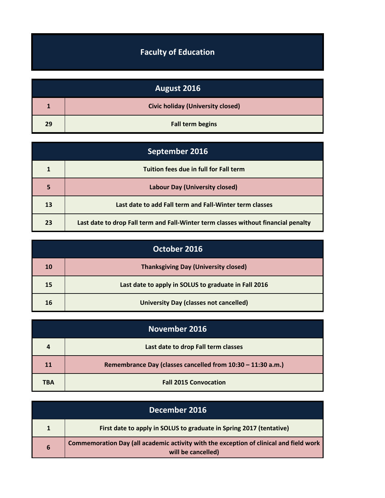## **Faculty of Education**

| August 2016 |                                          |
|-------------|------------------------------------------|
|             | <b>Civic holiday (University closed)</b> |
| 29          | <b>Fall term begins</b>                  |

| September 2016 |                                                                                    |
|----------------|------------------------------------------------------------------------------------|
|                | Tuition fees due in full for Fall term                                             |
| 5              | <b>Labour Day (University closed)</b>                                              |
| 13             | Last date to add Fall term and Fall-Winter term classes                            |
| 23             | Last date to drop Fall term and Fall-Winter term classes without financial penalty |

| October 2016 |                                                      |
|--------------|------------------------------------------------------|
| 10           | <b>Thanksgiving Day (University closed)</b>          |
| 15           | Last date to apply in SOLUS to graduate in Fall 2016 |
| 16           | <b>University Day (classes not cancelled)</b>        |

| November 2016 |                                                             |
|---------------|-------------------------------------------------------------|
| 4             | Last date to drop Fall term classes                         |
| 11            | Remembrance Day (classes cancelled from 10:30 - 11:30 a.m.) |
| <b>TBA</b>    | <b>Fall 2015 Convocation</b>                                |

| December 2016 |                                                                                                              |
|---------------|--------------------------------------------------------------------------------------------------------------|
|               | First date to apply in SOLUS to graduate in Spring 2017 (tentative)                                          |
| 6             | Commemoration Day (all academic activity with the exception of clinical and field work<br>will be cancelled) |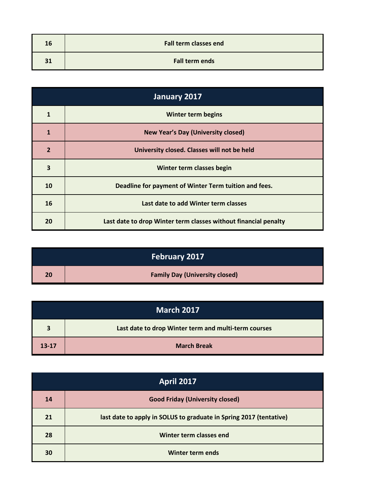| 16 | <b>Fall term classes end</b> |
|----|------------------------------|
| 31 | <b>Fall term ends</b>        |

| January 2017   |                                                                 |
|----------------|-----------------------------------------------------------------|
| $\mathbf{1}$   | <b>Winter term begins</b>                                       |
| 1              | <b>New Year's Day (University closed)</b>                       |
| $\overline{2}$ | University closed. Classes will not be held                     |
| 3              | Winter term classes begin                                       |
| 10             | Deadline for payment of Winter Term tuition and fees.           |
| 16             | Last date to add Winter term classes                            |
| 20             | Last date to drop Winter term classes without financial penalty |

|    | <b>February 2017</b>                  |
|----|---------------------------------------|
| 20 | <b>Family Day (University closed)</b> |

| <b>March 2017</b> |                                                      |
|-------------------|------------------------------------------------------|
| 3                 | Last date to drop Winter term and multi-term courses |
| $13 - 17$         | <b>March Break</b>                                   |

| <b>April 2017</b> |                                                                    |
|-------------------|--------------------------------------------------------------------|
| 14                | <b>Good Friday (University closed)</b>                             |
| 21                | last date to apply in SOLUS to graduate in Spring 2017 (tentative) |
| 28                | Winter term classes end                                            |
| 30                | Winter term ends                                                   |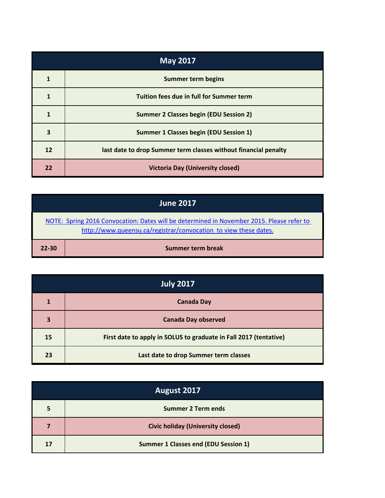| <b>May 2017</b> |                                                                 |
|-----------------|-----------------------------------------------------------------|
|                 | <b>Summer term begins</b>                                       |
|                 | Tuition fees due in full for Summer term                        |
| 1               | <b>Summer 2 Classes begin (EDU Session 2)</b>                   |
| 3               | <b>Summer 1 Classes begin (EDU Session 1)</b>                   |
| 12              | last date to drop Summer term classes without financial penalty |
| 22              | <b>Victoria Day (University closed)</b>                         |

| <b>June 2017</b>                                                                                                                                              |                   |
|---------------------------------------------------------------------------------------------------------------------------------------------------------------|-------------------|
| NOTE: Spring 2016 Convocation: Dates will be determined in November 2015. Please refer to<br>http://www.queensu.ca/registrar/convocation to view these dates. |                   |
| $22 - 30$                                                                                                                                                     | Summer term break |

| <b>July 2017</b> |                                                                   |  |
|------------------|-------------------------------------------------------------------|--|
| 1                | <b>Canada Day</b>                                                 |  |
| 3                | <b>Canada Day observed</b>                                        |  |
| 15               | First date to apply in SOLUS to graduate in Fall 2017 (tentative) |  |
| 23               | Last date to drop Summer term classes                             |  |

| August 2017 |                                             |  |
|-------------|---------------------------------------------|--|
| 5           | <b>Summer 2 Term ends</b>                   |  |
| 7           | <b>Civic holiday (University closed)</b>    |  |
| 17          | <b>Summer 1 Classes end (EDU Session 1)</b> |  |